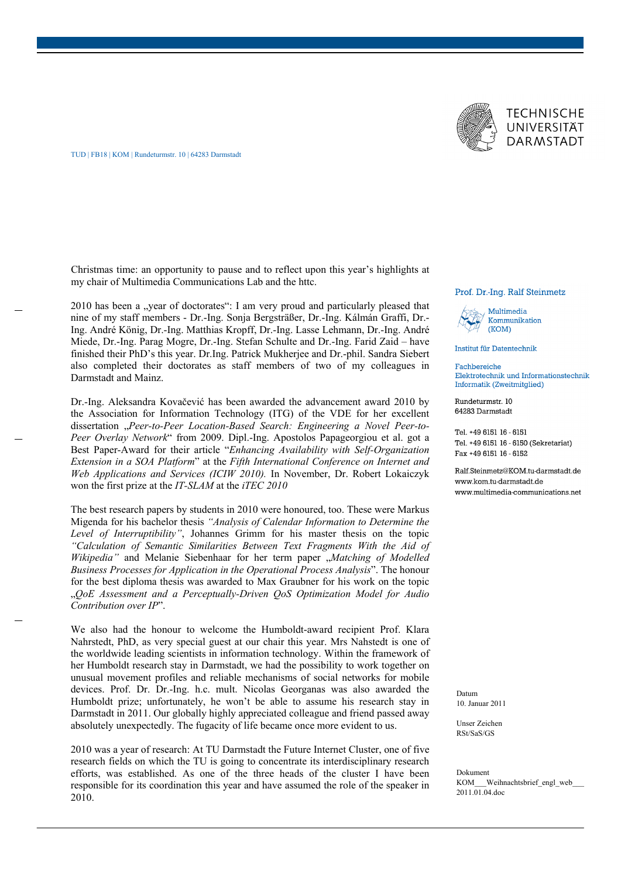

Christmas time: an opportunity to pause and to reflect upon this year's highlights at my chair of Multimedia Communications Lab and the httc.

2010 has been a "year of doctorates": I am very proud and particularly pleased that nine of my staff members - Dr.-Ing. Sonja Bergsträßer, Dr.-Ing. Kálmán Graffi, Dr.- Ing. André König, Dr.-Ing. Matthias Kropff, Dr.-Ing. Lasse Lehmann, Dr.-Ing. André Miede, Dr.-Ing. Parag Mogre, Dr.-Ing. Stefan Schulte and Dr.-Ing. Farid Zaid – have finished their PhD's this year. Dr.Ing. Patrick Mukherjee and Dr.-phil. Sandra Siebert also completed their doctorates as staff members of two of my colleagues in Darmstadt and Mainz.

Dr.-Ing. Aleksandra Kovačević has been awarded the advancement award 2010 by the Association for Information Technology (ITG) of the VDE for her excellent dissertation "Peer-to-Peer Location-Based Search: Engineering a Novel Peer-to-*Peer Overlay Network*" from 2009. Dipl.-Ing. Apostolos Papageorgiou et al. got a Best Paper-Award for their article "*Enhancing Availability with Self-Organization Extension in a SOA Platform*" at the *Fifth International Conference on Internet and Web Applications and Services (ICIW 2010).* In November, Dr. Robert Lokaiczyk won the first prize at the *IT-SLAM* at the *iTEC 2010*

The best research papers by students in 2010 were honoured, too. These were Markus Migenda for his bachelor thesis *"Analysis of Calendar Information to Determine the Level of Interruptibility"*, Johannes Grimm for his master thesis on the topic *"Calculation of Semantic Similarities Between Text Fragments With the Aid of Wikipedia"* and Melanie Siebenhaar for her term paper "*Matching of Modelled Business Processes for Application in the Operational Process Analysis*". The honour for the best diploma thesis was awarded to Max Graubner for his work on the topic "*QoE Assessment and a Perceptually-Driven QoS Optimization Model for Audio Contribution over IP*".

We also had the honour to welcome the Humboldt-award recipient Prof. Klara Nahrstedt, PhD, as very special guest at our chair this year. Mrs Nahstedt is one of the worldwide leading scientists in information technology. Within the framework of her Humboldt research stay in Darmstadt, we had the possibility to work together on unusual movement profiles and reliable mechanisms of social networks for mobile devices. Prof. Dr. Dr.-Ing. h.c. mult. Nicolas Georganas was also awarded the Humboldt prize; unfortunately, he won't be able to assume his research stay in Darmstadt in 2011. Our globally highly appreciated colleague and friend passed away absolutely unexpectedly. The fugacity of life became once more evident to us.

2010 was a year of research: At TU Darmstadt the Future Internet Cluster, one of five research fields on which the TU is going to concentrate its interdisciplinary research efforts, was established. As one of the three heads of the cluster I have been responsible for its coordination this year and have assumed the role of the speaker in 2010.

## Prof. Dr.-Ing. Ralf Steinmetz



Institut für Datentechnik

Fachbereiche Elektrotechnik und Informationstechnik Informatik (Zweitmitglied)

Rundeturmstr. 10 64283 Darmstadt

Tel. +49 6151 16 - 6151 Tel. +49 6151 16 - 6150 (Sekretariat) Fax +49 6151 16 - 6152

Ralf.Steinmetz@KOM.tu-darmstadt.de www.kom.tu-darmstadt.de www.multimedia-communications.net

Datum 10. Januar 2011

Unser Zeichen RSt/SaS/GS

Dokument KOM Weihnachtsbrief engl\_web\_ 2011.01.04.doc